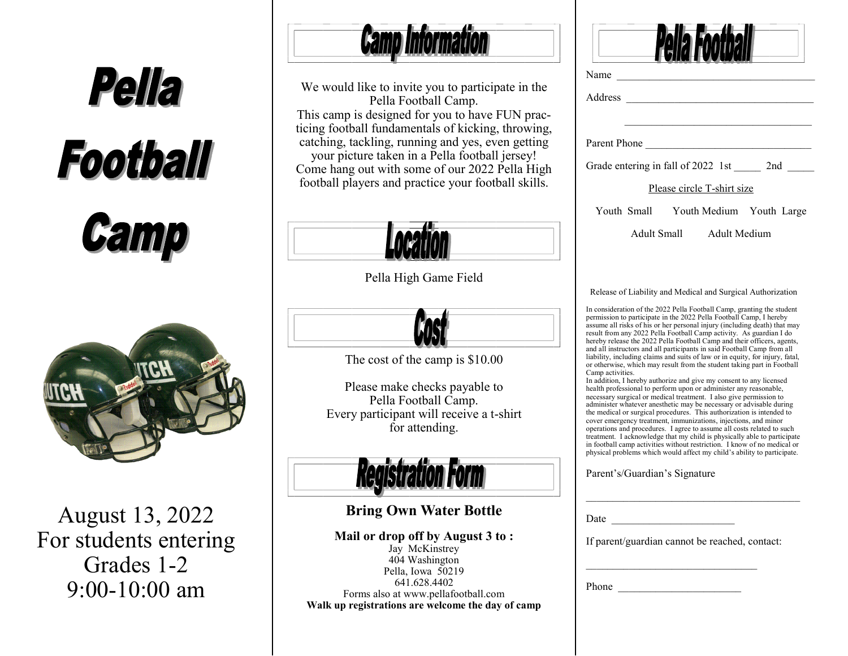

August 13, 2022 For students entering Grades 1-2 9:00-10:00 am



We would like to invite you to participate in the Pella Football Camp. This camp is designed for you to have FUN practicing football fundamentals of kicking, throwing, catching, tackling, running and yes, even getting your picture taken in a Pella football jersey! Come hang out with some of our 2022 Pella High football players and practice your football skills.



Pella High Game Field



The cost of the camp is \$10.00

Please make checks payable to Pella Football Camp. Every participant will receive a t-shirt for attending.



## **Bring Own Water Bottle**

**Mail or drop off by August 3 to :** Jay McKinstrey 404 Washington Pella, Iowa 50219 641.628.4402 Forms also at www.pellafootball.com **Walk up registrations are welcome the day of camp** 

|                  | rooti                                                                                                                                                                                                                                                                                                                                                                                                                                                                                                                                                                                                                                                                                                                                                                                                                                                                                                                                                                                                                                                                                                                              |
|------------------|------------------------------------------------------------------------------------------------------------------------------------------------------------------------------------------------------------------------------------------------------------------------------------------------------------------------------------------------------------------------------------------------------------------------------------------------------------------------------------------------------------------------------------------------------------------------------------------------------------------------------------------------------------------------------------------------------------------------------------------------------------------------------------------------------------------------------------------------------------------------------------------------------------------------------------------------------------------------------------------------------------------------------------------------------------------------------------------------------------------------------------|
| Name             |                                                                                                                                                                                                                                                                                                                                                                                                                                                                                                                                                                                                                                                                                                                                                                                                                                                                                                                                                                                                                                                                                                                                    |
| Address          |                                                                                                                                                                                                                                                                                                                                                                                                                                                                                                                                                                                                                                                                                                                                                                                                                                                                                                                                                                                                                                                                                                                                    |
|                  | Parent Phone                                                                                                                                                                                                                                                                                                                                                                                                                                                                                                                                                                                                                                                                                                                                                                                                                                                                                                                                                                                                                                                                                                                       |
|                  | Grade entering in fall of 2022 1st ________ 2nd ______                                                                                                                                                                                                                                                                                                                                                                                                                                                                                                                                                                                                                                                                                                                                                                                                                                                                                                                                                                                                                                                                             |
|                  | Please circle T-shirt size                                                                                                                                                                                                                                                                                                                                                                                                                                                                                                                                                                                                                                                                                                                                                                                                                                                                                                                                                                                                                                                                                                         |
|                  | Youth Small Youth Medium Youth Large                                                                                                                                                                                                                                                                                                                                                                                                                                                                                                                                                                                                                                                                                                                                                                                                                                                                                                                                                                                                                                                                                               |
|                  | Adult Small Adult Medium                                                                                                                                                                                                                                                                                                                                                                                                                                                                                                                                                                                                                                                                                                                                                                                                                                                                                                                                                                                                                                                                                                           |
|                  | Release of Liability and Medical and Surgical Authorization                                                                                                                                                                                                                                                                                                                                                                                                                                                                                                                                                                                                                                                                                                                                                                                                                                                                                                                                                                                                                                                                        |
| Camp activities. | In consideration of the 2022 Pella Football Camp, granting the student<br>permission to participate in the 2022 Pella Football Camp, I hereby<br>assume all risks of his or her personal injury (including death) that may<br>result from any 2022 Pella Football Camp activity. As guardian I do<br>hereby release the 2022 Pella Football Camp and their officers, agents,<br>and all instructors and all participants in said Football Camp from all<br>liability, including claims and suits of law or in equity, for injury, fatal,<br>or otherwise, which may result from the student taking part in Football<br>In addition, I hereby authorize and give my consent to any licensed<br>health professional to perform upon or administer any reasonable,<br>necessary surgical or medical treatment. I also give permission to<br>administer whatever anesthetic may be necessary or advisable during<br>the medical or surgical procedures. This authorization is intended to<br>cover emergency treatment, immunizations, injections, and minor<br>operations and procedures. I agree to assume all costs related to such |
|                  | treatment. I acknowledge that my child is physically able to participate<br>in football camp activities without restriction. I know of no medical or<br>physical problems which would affect my child's ability to participate.                                                                                                                                                                                                                                                                                                                                                                                                                                                                                                                                                                                                                                                                                                                                                                                                                                                                                                    |

## Parent's/Guardian's Signature

| If parent/guardian cannot be reached, contact: | Date  |  |
|------------------------------------------------|-------|--|
|                                                |       |  |
|                                                |       |  |
|                                                |       |  |
|                                                | Phone |  |